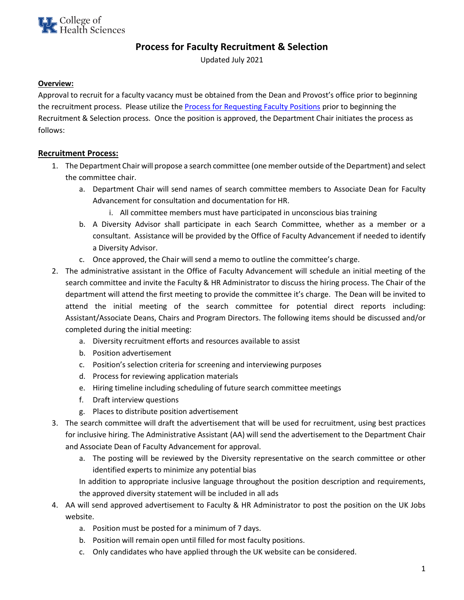# **Process for Faculty Recruitment & Selection**

Updated July 2021

### **Overview:**

Approval to recruit for a faculty vacancy must be obtained from the Dean and Provost's office prior to beginning the recruitment process. Please utilize th[e Process for Requesting Faculty Positions](https://www.uky.edu/chs/sites/chs.uky.edu/files/Biz_forms/Updates/SOP%20for%20Requesting%20New%20Faculty%20Position%209-19-2016%20%281%29.pdf) prior to beginning the Recruitment & Selection process. Once the position is approved, the Department Chair initiates the process as follows:

## **Recruitment Process:**

- 1. The Department Chair will propose a search committee (one member outside of the Department) and select the committee chair.
	- a. Department Chair will send names of search committee members to Associate Dean for Faculty Advancement for consultation and documentation for HR.
		- i. All committee members must have participated in unconscious bias training
	- b. A Diversity Advisor shall participate in each Search Committee, whether as a member or a consultant. Assistance will be provided by the Office of Faculty Advancement if needed to identify a Diversity Advisor.
	- c. Once approved, the Chair will send a memo to outline the committee's charge.
- 2. The administrative assistant in the Office of Faculty Advancement will schedule an initial meeting of the search committee and invite the Faculty & HR Administrator to discuss the hiring process. The Chair of the department will attend the first meeting to provide the committee it's charge. The Dean will be invited to attend the initial meeting of the search committee for potential direct reports including: Assistant/Associate Deans, Chairs and Program Directors. The following items should be discussed and/or completed during the initial meeting:
	- a. Diversity recruitment efforts and resources available to assist
	- b. Position advertisement
	- c. Position's selection criteria for screening and interviewing purposes
	- d. Process for reviewing application materials
	- e. Hiring timeline including scheduling of future search committee meetings
	- f. Draft interview questions
	- g. Places to distribute position advertisement
- 3. The search committee will draft the advertisement that will be used for recruitment, using best practices for inclusive hiring. The Administrative Assistant (AA) will send the advertisement to the Department Chair and Associate Dean of Faculty Advancement for approval.
	- a. The posting will be reviewed by the Diversity representative on the search committee or other identified experts to minimize any potential bias

In addition to appropriate inclusive language throughout the position description and requirements, the approved diversity statement will be included in all ads

- 4. AA will send approved advertisement to Faculty & HR Administrator to post the position on the UK Jobs website.
	- a. Position must be posted for a minimum of 7 days.
	- b. Position will remain open until filled for most faculty positions.
	- c. Only candidates who have applied through the UK website can be considered.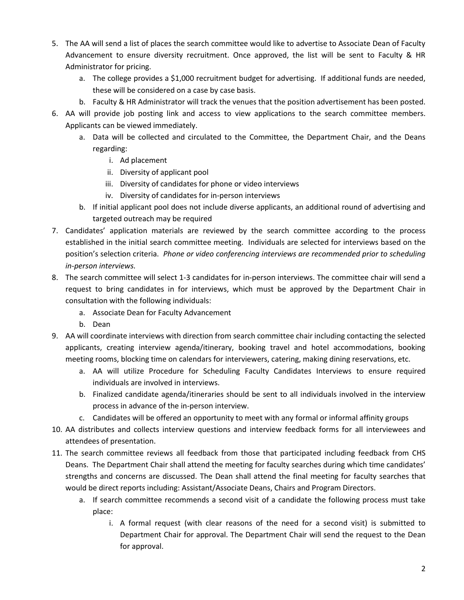- 5. The AA will send a list of places the search committee would like to advertise to Associate Dean of Faculty Advancement to ensure diversity recruitment. Once approved, the list will be sent to Faculty & HR Administrator for pricing.
	- a. The college provides a \$1,000 recruitment budget for advertising. If additional funds are needed, these will be considered on a case by case basis.
	- b. Faculty & HR Administrator will track the venues that the position advertisement has been posted.
- 6. AA will provide job posting link and access to view applications to the search committee members. Applicants can be viewed immediately.
	- a. Data will be collected and circulated to the Committee, the Department Chair, and the Deans regarding:
		- i. Ad placement
		- ii. Diversity of applicant pool
		- iii. Diversity of candidates for phone or video interviews
		- iv. Diversity of candidates for in-person interviews
	- b. If initial applicant pool does not include diverse applicants, an additional round of advertising and targeted outreach may be required
- 7. Candidates' application materials are reviewed by the search committee according to the process established in the initial search committee meeting. Individuals are selected for interviews based on the position's selection criteria. *Phone or video conferencing interviews are recommended prior to scheduling in-person interviews.*
- 8. The search committee will select 1-3 candidates for in-person interviews. The committee chair will send a request to bring candidates in for interviews, which must be approved by the Department Chair in consultation with the following individuals:
	- a. Associate Dean for Faculty Advancement
	- b. Dean
- 9. AA will coordinate interviews with direction from search committee chair including contacting the selected applicants, creating interview agenda/itinerary, booking travel and hotel accommodations, booking meeting rooms, blocking time on calendars for interviewers, catering, making dining reservations, etc.
	- a. AA will utilize Procedure for Scheduling Faculty Candidates Interviews to ensure required individuals are involved in interviews.
	- b. Finalized candidate agenda/itineraries should be sent to all individuals involved in the interview process in advance of the in-person interview.
	- c. Candidates will be offered an opportunity to meet with any formal or informal affinity groups
- 10. AA distributes and collects interview questions and interview feedback forms for all interviewees and attendees of presentation.
- 11. The search committee reviews all feedback from those that participated including feedback from CHS Deans. The Department Chair shall attend the meeting for faculty searches during which time candidates' strengths and concerns are discussed. The Dean shall attend the final meeting for faculty searches that would be direct reports including: Assistant/Associate Deans, Chairs and Program Directors.
	- a. If search committee recommends a second visit of a candidate the following process must take place:
		- i. A formal request (with clear reasons of the need for a second visit) is submitted to Department Chair for approval. The Department Chair will send the request to the Dean for approval.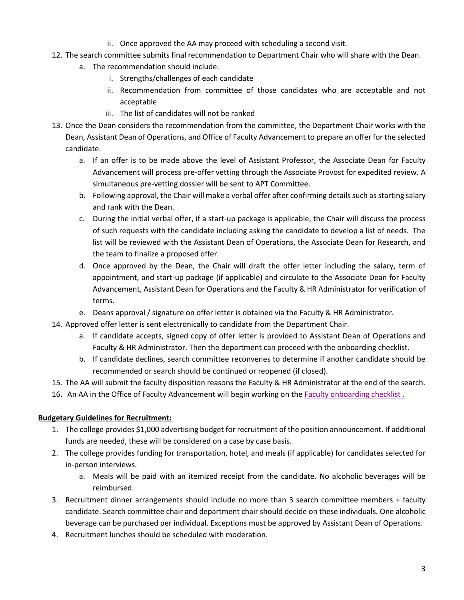- ii. Once approved the AA may proceed with scheduling a second visit.
- 12. The search committee submits final recommendation to Department Chair who will share with the Dean.
	- a. The recommendation should include:
		- i. Strengths/challenges of each candidate
		- ii. Recommendation from committee of those candidates who are acceptable and not acceptable
		- iii. The list of candidates will not be ranked
- 13. Once the Dean considers the recommendation from the committee, the Department Chair works with the Dean, Assistant Dean of Operations, and Office of Faculty Advancement to prepare an offer for the selected candidate.
	- a. If an offer is to be made above the level of Assistant Professor, the Associate Dean for Faculty Advancement will process pre-offer vetting through the Associate Provost for expedited review. A simultaneous pre-vetting dossier will be sent to APT Committee.
	- b. Following approval, the Chair will make a verbal offer after confirming details such as starting salary and rank with the Dean.
	- c. During the initial verbal offer, if a start-up package is applicable, the Chair will discuss the process of such requests with the candidate including asking the candidate to develop a list of needs. The list will be reviewed with the Assistant Dean of Operations, the Associate Dean for Research, and the team to finalize a proposed offer.
	- d. Once approved by the Dean, the Chair will draft the offer letter including the salary, term of appointment, and start-up package (if applicable) and circulate to the Associate Dean for Faculty Advancement, Assistant Dean for Operations and the Faculty & HR Administrator for verification of terms.
	- e. Deans approval / signature on offer letter is obtained via the Faculty & HR Administrator.
- 14. Approved offer letter is sent electronically to candidate from the Department Chair.
	- a. If candidate accepts, signed copy of offer letter is provided to Assistant Dean of Operations and Faculty & HR Administrator. Then the department can proceed with the onboarding checklist.
	- b. If candidate declines, search committee reconvenes to determine if another candidate should be recommended or search should be continued or reopened (if closed).
- 15. The AA will submit the faculty disposition reasons the Faculty & HR Administrator at the end of the search.
- 16. An AA in the Office of Faculty Advancement will begin working on the [Faculty onboarding checklist](https://www.uky.edu/chs/sites/chs.uky.edu/files/Onboarding%20Checklist1.pdf) .

#### **Budgetary Guidelines for Recruitment:**

- 1. The college provides \$1,000 advertising budget for recruitment of the position announcement. If additional funds are needed, these will be considered on a case by case basis.
- 2. The college provides funding for transportation, hotel, and meals (if applicable) for candidates selected for in-person interviews.
	- a. Meals will be paid with an itemized receipt from the candidate. No alcoholic beverages will be reimbursed.
- 3. Recruitment dinner arrangements should include no more than 3 search committee members + faculty candidate. Search committee chair and department chair should decide on these individuals. One alcoholic beverage can be purchased per individual. Exceptions must be approved by Assistant Dean of Operations.
- 4. Recruitment lunches should be scheduled with moderation.